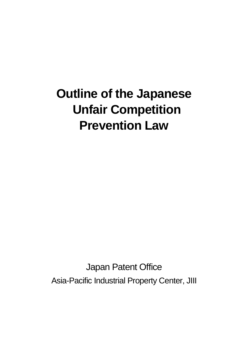# **Outline of the Japanese Unfair Competition Prevention Law**

Japan Patent Office Asia-Pacific Industrial Property Center, JIII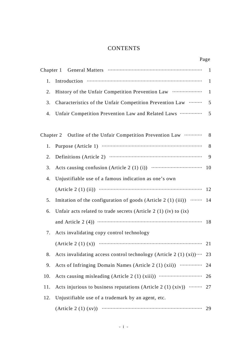# **CONTENTS**

|    | Page                                                       |     |
|----|------------------------------------------------------------|-----|
|    |                                                            |     |
|    |                                                            |     |
|    |                                                            |     |
| 3. |                                                            |     |
|    | 4. Unfair Competition Prevention Law and Related Laws  5   |     |
|    |                                                            |     |
|    | Chapter 2 Outline of the Unfair Competition Prevention Law | - 8 |

|     | Chapter 2 Outline of the Unfair Competition Prevention Law               | 8  |
|-----|--------------------------------------------------------------------------|----|
| 1.  |                                                                          | 8  |
| 2.  |                                                                          | 9  |
| 3.  |                                                                          | 10 |
| 4.  | Unjustifiable use of a famous indication as one's own                    |    |
|     | (Article 2 (1) (ii)) $\cdots$ (and $\cdots$ (and $\cdots$ 12             |    |
| 5.  | Imitation of the configuration of goods (Article 2 $(1)$ $(iii)$ )  14   |    |
| 6.  | Unfair acts related to trade secrets (Article 2 $(1)$ (iv) to $(ix)$     |    |
|     | and Article 2 (4)) $\cdots$ (18)                                         |    |
| 7.  | Acts invalidating copy control technology                                |    |
|     | (Article 2 (1) (x)) $\cdots$ (21)                                        |    |
| 8.  | Acts invalidating access control technology (Article 2 (1) $(xi)$ ) 23   |    |
| 9.  | Acts of Infringing Domain Names (Article 2 (1) (xii))                    | 24 |
| 10. |                                                                          |    |
| 11. | Acts injurious to business reputations (Article 2 (1) (xiv)) $\cdots$ 27 |    |
| 12. | Unjustifiable use of a trademark by an agent, etc.                       |    |
|     | (Article 2 (1) (xv)) $\cdots$ (29                                        |    |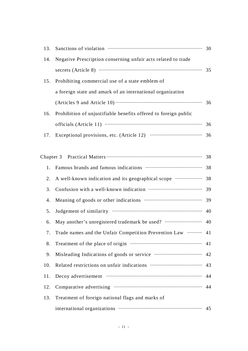| 13.       |                                                                 |    |
|-----------|-----------------------------------------------------------------|----|
| 14.       | Negative Prescription conserning unfair acts related to trade   |    |
|           |                                                                 |    |
| 15.       | Prohibiting commercial use of a state emblem of                 |    |
|           | a foreign state and amark of an international organization      |    |
|           |                                                                 |    |
| 16.       | Prohibition of unjustifiable benefits offered to foreign public |    |
|           |                                                                 |    |
| 17.       |                                                                 |    |
|           |                                                                 |    |
| Chapter 3 |                                                                 |    |
| 1.        |                                                                 |    |
| 2.        |                                                                 |    |
| 3.        |                                                                 |    |
| 4.        |                                                                 |    |
| 5.        |                                                                 |    |
| 6.        |                                                                 |    |
| 7.        | Trade names and the Unfair Competition Prevention Law  41       |    |
| 8.        |                                                                 | 41 |
| 9.        |                                                                 |    |
| 10.       |                                                                 |    |
| 11.       | Decoy advertisement manufactured and 44                         |    |
| 12.       |                                                                 |    |
| 13.       | Treatment of foreign national flags and marks of                |    |
|           |                                                                 |    |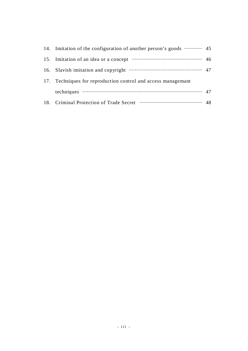| 14. Imitation of the configuration of another person's goods  45   |  |
|--------------------------------------------------------------------|--|
| 15. Imitation of an idea or a concept manufactured manufactured 46 |  |
| 16. Slavish imitation and copyright manufactured and 47            |  |
| 17. Techniques for reproduction control and access managemant      |  |
|                                                                    |  |
|                                                                    |  |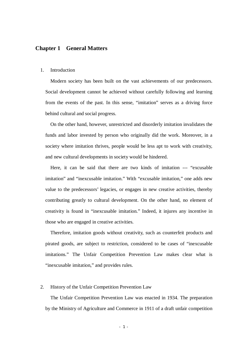# **Chapter 1 General Matters**

#### 1. Introduction

Modern society has been built on the vast achievements of our predecessors. Social development cannot be achieved without carefully following and learning from the events of the past. In this sense, "imitation" serves as a driving force behind cultural and social progress.

On the other hand, however, unrestricted and disorderly imitation invalidates the funds and labor invested by person who originally did the work. Moreover, in a society where imitation thrives, people would be less apt to work with creativity, and new cultural developments in society would be hindered.

Here, it can be said that there are two kinds of imitation --- "excusable imitation" and "inexcusable imitation." With "excusable imitation," one adds new value to the predecessors' legacies, or engages in new creative activities, thereby contributing greatly to cultural development. On the other hand, no element of creativity is found in "inexcusable imitation." Indeed, it injures any incentive in those who are engaged in creative activities.

Therefore, imitation goods without creativity, such as counterfeit products and pirated goods, are subject to restriction, considered to be cases of "inexcusable imitations." The Unfair Competition Prevention Law makes clear what is "inexcusable imitation," and provides rules.

#### 2. History of the Unfair Competition Prevention Law

The Unfair Competition Prevention Law was enacted in 1934. The preparation by the Ministry of Agriculture and Commerce in 1911 of a draft unfair competition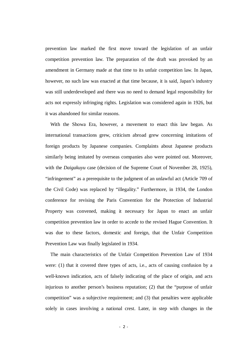prevention law marked the first move toward the legislation of an unfair competition prevention law. The preparation of the draft was provoked by an amendment in Germany made at that time to its unfair competition law. In Japan, however, no such law was enacted at that time because, it is said, Japan's industry was still underdeveloped and there was no need to demand legal responsibility for acts not expressly infringing rights. Legislation was considered again in 1926, but it was abandoned for similar reasons.

With the Showa Era, however, a movement to enact this law began. As international transactions grew, criticism abroad grew concerning imitations of foreign products by Japanese companies. Complaints about Japanese products similarly being imitated by overseas companies also were pointed out. Moreover, with the *Daigakuyu* case (decision of the Supreme Court of November 28, 1925), "infringement" as a prerequisite to the judgment of an unlawful act (Article 709 of the Civil Code) was replaced by "illegality." Furthermore, in 1934, the London conference for revising the Paris Convention for the Protection of Industrial Property was convened, making it necessary for Japan to enact an unfair competition prevention law in order to accede to the revised Hague Convention. It was due to these factors, domestic and foreign, that the Unfair Competition Prevention Law was finally legislated in 1934.

The main characteristics of the Unfair Competition Prevention Law of 1934 were: (1) that it covered three types of acts, i.e., acts of causing confusion by a well-known indication, acts of falsely indicating of the place of origin, and acts injurious to another person's business reputation; (2) that the "purpose of unfair competition" was a subjective requirement; and (3) that penalties were applicable solely in cases involving a national crest. Later, in step with changes in the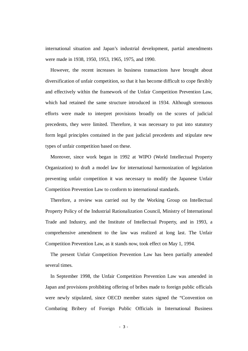international situation and Japan's industrial development, partial amendments were made in 1938, 1950, 1953, 1965, 1975, and 1990.

However, the recent increases in business transactions have brought about diversification of unfair competition, so that it has become difficult to cope flexibly and effectively within the framework of the Unfair Competition Prevention Law, which had retained the same structure introduced in 1934. Although strenuous efforts were made to interpret provisions broadly on the scores of judicial precedents, they were limited. Therefore, it was necessary to put into statutory form legal principles contained in the past judicial precedents and stipulate new types of unfair competition based on these.

Moreover, since work began in 1992 at WIPO (World Intellectual Property Organization) to draft a model law for international harmonization of legislation preventing unfair competition it was necessary to modify the Japanese Unfair Competition Prevention Law to conform to international standards.

Therefore, a review was carried out by the Working Group on Intellectual Property Policy of the Industrial Rationalization Council, Ministry of International Trade and Industry, and the Institute of Intellectual Property, and in 1993, a comprehensive amendment to the law was realized at long last. The Unfair Competition Prevention Law, as it stands now, took effect on May 1, 1994.

The present Unfair Competition Prevention Law has been partially amended several times.

In September 1998, the Unfair Competition Prevention Law was amended in Japan and provisions prohibiting offering of bribes made to foreign public officials were newly stipulated, since OECD member states signed the "Convention on Combating Bribery of Foreign Public Officials in International Business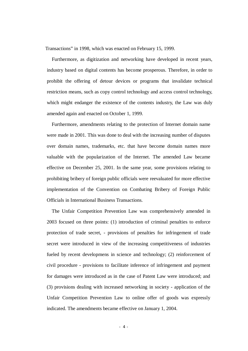Transactions" in 1998, which was enacted on February 15, 1999.

Furthermore, as digitization and networking have developed in recent years, industry based on digital contents has become prosperous. Therefore, in order to prohibit the offering of detour devices or programs that invalidate technical restriction means, such as copy control technology and access control technology, which might endanger the existence of the contents industry, the Law was duly amended again and enacted on October 1, 1999.

Furthermore, amendments relating to the protection of Internet domain name were made in 2001. This was done to deal with the increasing number of disputes over domain names, trademarks, etc. that have become domain names more valuable with the popularization of the Internet. The amended Law became effective on December 25, 2001. In the same year, some provisions relating to prohibiting bribery of foreign public officials were reevaluated for more effective implementation of the Convention on Combating Bribery of Foreign Public Officials in International Business Transactions.

The Unfair Competition Prevention Law was comprehensively amended in 2003 focused on three points: (1) introduction of criminal penalties to enforce protection of trade secret, - provisions of penalties for infringement of trade secret were introduced in view of the increasing competitiveness of industries fueled by recent developmens in science and technology; (2) reinforcement of civil procedure - provisions to facilitate inference of infringement and payment for damages were introduced as in the case of Patent Law were introduced; and (3) provisions dealing with increased networking in society - application of the Unfair Competition Prevention Law to online offer of goods was expressly indicated. The amendments became effective on January 1, 2004.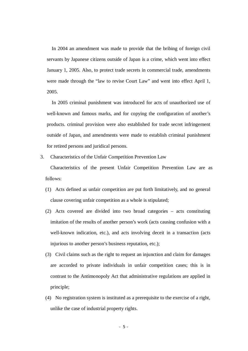In 2004 an amendment was made to provide that the bribing of foreign civil servants by Japanese citizens outside of Japan is a crime, which went into effect January 1, 2005. Also, to protect trade secrets in commercial trade, amendments were made through the "law to revise Court Law" and went into effect April 1, 2005.

In 2005 criminal punishment was introduced for acts of unauthorized use of well-known and famous marks, and for copying the configuration of another's products. criminal provision were also established for trade secret infringement outside of Japan, and amendments were made to establish criminal punishment for retired persons and juridical persons.

#### 3. Characteristics of the Unfair Competition Prevention Law

Characteristics of the present Unfair Competition Prevention Law are as follows:

- (1) Acts defined as unfair competition are put forth limitatively, and no general clause covering unfair competition as a whole is stipulated;
- (2) Acts covered are divided into two broad categories acts constituting imitation of the results of another person's work (acts causing confusion with a well-known indication, etc.), and acts involving deceit in a transaction (acts injurious to another person's business reputation, etc.);
- (3) Civil claims such as the right to request an injunction and claim for damages are accorded to private individuals in unfair competition cases; this is in contrast to the Antimonopoly Act that administrative regulations are applied in principle;
- (4) No registration system is instituted as a prerequisite to the exercise of a right, unlike the case of industrial property rights.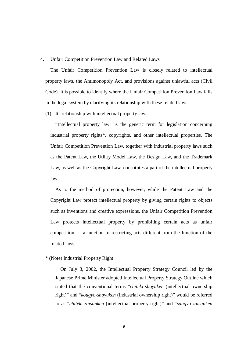#### 4. Unfair Competition Prevention Law and Related Laws

The Unfair Competition Prevention Law is closely related to intellectual property laws, the Antimonopoly Act, and provisions against unlawful acts (Civil Code). It is possible to identify where the Unfair Competition Prevention Law falls in the legal system by clarifying its relationship with these related laws.

(1) Its relationship with intellectual property laws

"Intellectual property law" is the generic term for legislation concerning industrial property rights\*, copyrights, and other intellectual properties. The Unfair Competition Prevention Law, together with industrial property laws such as the Patent Law, the Utility Model Law, the Design Law, and the Trademark Law, as well as the Copyright Law, constitutes a part of the intellectual property laws.

As to the method of protection, however, while the Patent Law and the Copyright Law protect intellectual property by giving certain rights to objects such as inventions and creative expressions, the Unfair Competition Prevention Law protects intellectual property by prohibiting certain acts as unfair competition --- a function of restricting acts different from the function of the related laws.

#### \* (Note) Industrial Property Right

On July 3, 2002, the Intellectual Property Strategy Council led by the Japanese Prime Minister adopted Intellectual Property Strategy Outline which stated that the conventional terms "*chiteki-shoyuken* (intellectual ownership right)" and "*kougyo-shoyuken* (industrial ownership right)" would be referred to as "*chiteki-zaisanken* (intellectual property right)" and "*sangyo-zaisanken*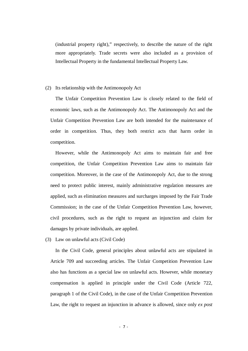(industrial property right)," respectively, to describe the nature of the right more appropriately. Trade secrets were also included as a provision of Intellectual Property in the fundamental Intellectual Property Law.

#### (2) Its relationship with the Antimonopoly Act

The Unfair Competition Prevention Law is closely related to the field of economic laws, such as the Antimonopoly Act. The Antimonopoly Act and the Unfair Competition Prevention Law are both intended for the maintenance of order in competition. Thus, they both restrict acts that harm order in competition.

However, while the Antimonopoly Act aims to maintain fair and free competition, the Unfair Competition Prevention Law aims to maintain fair competition. Moreover, in the case of the Antimonopoly Act, due to the strong need to protect public interest, mainly administrative regulation measures are applied, such as elimination measures and surcharges imposed by the Fair Trade Commission; in the case of the Unfair Competition Prevention Law, however, civil procedures, such as the right to request an injunction and claim for damages by private individuals, are applied.

(3) Law on unlawful acts (Civil Code)

In the Civil Code, general principles about unlawful acts are stipulated in Article 709 and succeeding articles. The Unfair Competition Prevention Law also has functions as a special law on unlawful acts. However, while monetary compensation is applied in principle under the Civil Code (Article 722, paragraph 1 of the Civil Code), in the case of the Unfair Competition Prevention Law, the right to request an injunction in advance is allowed, since only *ex post*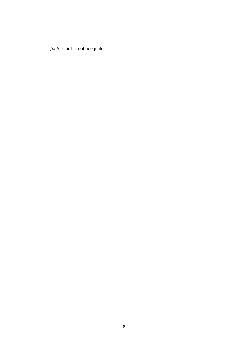*facto* relief is not adequate.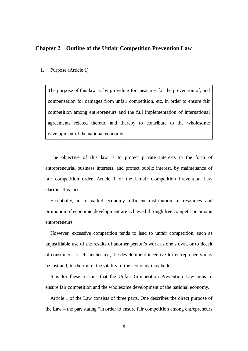# **Chapter 2 Outline of the Unfair Competition Prevention Law**

#### 1. Purpose (Article 1)

The purpose of this law is, by providing for measures for the prevention of, and compensation for damages from unfair competition, etc. in order to ensure fair competition among entrepreneurs and the full implementation of international agreements related thereto, and thereby to contribute to the wholesome development of the national economy.

The objective of this law is to protect private interests in the form of entrepreneurial business interests, and protect public interest, by maintenance of fair competition order. Article 1 of the Unfair Competition Prevention Law clarifies this fact.

Essentially, in a market economy, efficient distribution of resources and promotion of economic development are achieved through free competition among entrepreneurs.

However, excessive competition tends to lead to unfair competition, such as unjustifiable use of the results of another person's work as one's own, or to deceit of consumers. If left unchecked, the development incentive for entrepreneurs may be lost and, furthermore, the vitality of the economy may be lost.

It is for these reasons that the Unfair Competition Prevention Law aims to ensure fair competition and the wholesome development of the national economy.

Article 1 of the Law consists of three parts. One describes the direct purpose of the Law – the part stating "in order to ensure fair competition among entrepreneurs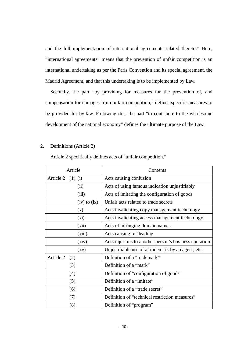and the full implementation of international agreements related thereto." Here, "international agreements" means that the prevention of unfair competition is an international undertaking as per the Paris Convention and its special agreement, the Madrid Agreement, and that this undertaking is to be implemented by Law.

Secondly, the part "by providing for measures for the prevention of, and compensation for damages from unfair competition," defines specific measures to be provided for by law. Following this, the part "to contribute to the wholesome development of the national economy" defines the ultimate purpose of the Law.

#### 2. Definitions (Article 2)

Article 2 specifically defines acts of "unfair competition."

| Article                |                    | Contents                                              |
|------------------------|--------------------|-------------------------------------------------------|
| Article 2<br>$(1)$ (i) |                    | Acts causing confusion                                |
|                        | (ii)               | Acts of using famous indication unjustifiably         |
|                        | (iii)              | Acts of imitating the configuration of goods          |
|                        | $(iv)$ to $(ix)$   | Unfair acts related to trade secrets                  |
|                        | (x)                | Acts invalidating copy management technology          |
|                        | (xi)               | Acts invalidating access management technology        |
|                        | (xii)              | Acts of infringing domain names                       |
|                        | (xiii)             | Acts causing misleading                               |
|                        | (xiv)              | Acts injurious to another person's business eputation |
|                        | $\left( xy\right)$ | Unjustifiable use of a trademark by an agent, etc.    |
| Article 2              | (2)                | Definition of a "trademark"                           |
|                        | (3)                | Definition of a "mark"                                |
|                        | (4)                | Definition of "configuration of goods"                |
|                        | (5)                | Definition of a "imitate"                             |
|                        | (6)                | Definition of a "trade secret"                        |
| (7)                    |                    | Definition of "technical restriction measures"        |
|                        | (8)                | Definition of "program"                               |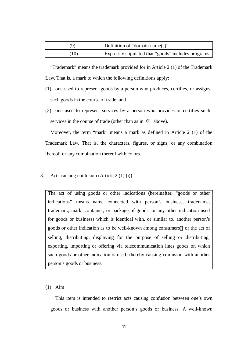| 9    | $\blacksquare$ Definition of "domain name(s)"       |
|------|-----------------------------------------------------|
| (10) | Expressly stipulated that "goods" includes programs |

"Trademark" means the trademark provided for in Article 2 (1) of the Trademark Law. That is, a mark to which the following definitions apply:

- (1) one used to represent goods by a person who produces, certifies, or assigns such goods in the course of trade; and
- (2) one used to represent services by a person who provides or certifies such services in the course of trade (other than as in above).

Moreover, the term "mark" means a mark as defined in Article 2 (1) of the Trademark Law. That is, the characters, figures, or signs, or any combination thereof, or any combination thereof with colors.

3. Acts causing confusion (Article 2 (1) (i))

The act of using goods or other indications (hereinafter, "goods or other indications" means name connected with person's business, tradename, trademark, mark, container, or package of goods, or any other indication used for goods or business) which is identical with, or similar to, another person's goods or other indication as to be well-known among consumers or the act of selling, distributing, displaying for the purpose of selling or distributing, exporting, importing or offering via telecommunication lines goods on which such goods or other indication is used, thereby causing confusion with another person's goods or business.

#### (1) Aim

This item is intended to restrict acts causing confusion between one's own goods or business with another person's goods or business. A well-known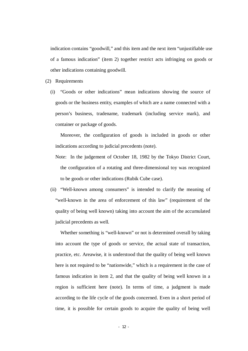indication contains "goodwill," and this item and the next item "unjustifiable use of a famous indication" (item 2) together restrict acts infringing on goods or other indications containing goodwill.

(2) Requirements

(i) "Goods or other indications" mean indications showing the source of goods or the business entity, examples of which are a name connected with a person's business, tradename, trademark (including service mark), and container or package of goods.

Moreover, the configuration of goods is included in goods or other indications according to judicial precedents (note).

- Note: In the judgement of October 18, 1982 by the Tokyo District Court, the configuration of a rotating and three-dimensional toy was recognized to be goods or other indications (Rubik Cube case).
- (ii) "Well-known among consumers" is intended to clarify the meaning of "well-known in the area of enforcement of this law" (requirement of the quality of being well known) taking into account the aim of the accumulated judicial precedents as well.

Whether something is "well-known" or not is determined overall by taking into account the type of goods or service, the actual state of transaction, practice, etc. Areawise, it is understood that the quality of being well known here is not required to be "nationwide," which is a requirement in the case of famous indication in item 2, and that the quality of being well known in a region is sufficient here (note). In terms of time, a judgment is made according to the life cycle of the goods concerned. Even in a short period of time, it is possible for certain goods to acquire the quality of being well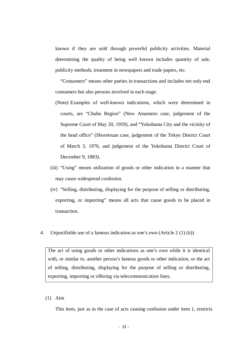known if they are sold through powerful publicity activities. Material determining the quality of being well known includes quantity of sale, publicity methods, treatment in newspapers and trade papers, etc.

"Consumers" means other parties in transactions and includes not only end consumers but also persons involved in each stage.

- (Note) Examples of well-known indications, which were determined in courts, are "Chubu Region" (New Amamoto case, judgement of the Supreme Court of May 20, 1959), and "Yokohama City and the vicinity of the head office" (Shoretsuan case, judgement of the Tokyo District Court of March 3, 1976, and judgement of the Yokohama District Court of December 9, 1883).
- (iii) "Using" means utilization of goods or other indication in a manner that may cause widespread confusion.
- (iv) "Selling, distributing, displaying for the purpose of selling or distributing, exporting, or importing" means all acts that cause goods to be placed in transaction.
- 4. Unjustifiable use of a famous indication as one's own (Article 2 (1) (ii))

The act of using goods or other indications as one's own while it is identical with, or similar to, another person's famous goods or other indication, or the act of selling, distributing, displaying for the purpose of selling or distributing, exporting, importing or offering via telecommunication lines.

## (1) Aim

This item, just as in the case of acts causing confusion under item 1, restricts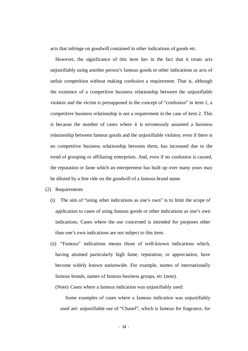acts that infringe on goodwill contained in other indications of goods etc.

However, the significance of this item lies in the fact that it treats acts unjustifiably using another person's famous goods or other indications as acts of unfair competition without making confusion a requirement. That is, although the existence of a competitive business relationship between the unjustifiable violator and the victim is presupposed in the concept of "confusion" in item 1, a competitive business relationship is not a requirement in the case of item 2. This is because the number of cases where it is erroneously assumed a business relationship between famous goods and the unjustifiable violator, even if there is no competitive business relationship between them, has increased due to the trend of grouping or affiliating enterprises. And, even if no confusion is caused, the reputation or fame which an entrepreneur has built up over many years may be diluted by a free ride on the goodwill of a famous brand name.

- (2) Requirements
	- (i) The aim of "using other indications as one's own" is to limit the scope of application to cases of using famous goods or other indications as one's own indications. Cases where the use concerned is intended for purposes other than one's own indications are not subject to this item.
	- (ii) "Famous" indications means those of well-known indications which, having attained particularly high fame, reputation, or appreciation, have become widely known nationwide. For example, names of internationally famous brands, names of famous business groups, etc (note).

(Note) Cases where a famous indication was unjustifiably used:

Some examples of cases where a famous indication was unjustifiably used are: unjustifiable use of "Chanel", which is famous for fragrance, for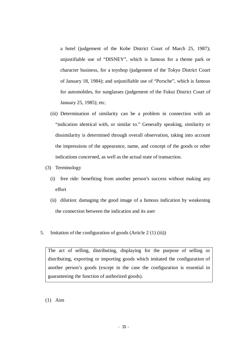- a hotel (judgement of the Kobe District Court of March 25, 1987); unjustifiable use of "DISNEY", which is famous for a theme park or character business, for a toyshop (judgement of the Tokyo District Court of January 18, 1984); and unjustifiable use of "Porsche", which is famous for automobiles, for sunglasses (judgement of the Fukui District Court of January 25, 1985); etc.
- (iii) Determination of similarity can be a problem in connection with an "indication identical with, or similar to." Generally speaking, similarity or dissimilarity is determined through overall observation, taking into account the impressions of the appearance, name, and concept of the goods or other indications concerned, as well as the actual state of transaction.
- (3) Terminology
	- (i) free ride: benefiting from another person's success without making any effort
	- (ii) dilution: damaging the good image of a famous indication by weakening the connection between the indication and its user
- 5. Imitation of the configuration of goods (Article 2 (1) (iii))

The act of selling, distributing, displaying for the purpose of selling or distributing, exporting or importing goods which imitated the configuration of another person's goods (except in the case the configuration is essential in guaranteeing the function of authorized goods).

# (1) Aim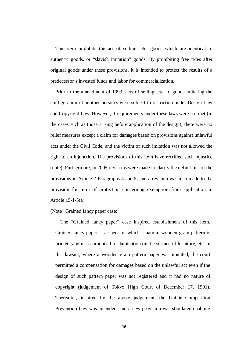This item prohibits the act of selling, etc. goods which are identical to authentic goods, or "slavish imitation" goods. By prohibiting free rides after original goods under these provisions, it is intended to protect the results of a predecessor's invested funds and labor for commercialization.

Prior to the amendment of 1993, acts of selling, etc. of goods imitating the configuration of another person's were subject to restriction under Design Law and Copyright Law. However, if requirements under these laws were not met (in the cases such as those arising before application of the design), there were no relief measures except a claim for damages based on provisions against unlawful acts under the Civil Code, and the victim of such imitation was not allowed the right to an injunction. The provisions of this item have rectified such injustice (note). Furthermore, in 2005 revisions were made to clarify the definitions of the provisions in Article 2 Paragraphs 4 and 5, and a revision was also made to the provision for term of protection concerning exemption from application in Article 19-1-5(a).

(Note) Grained fancy paper case:

The "Grained fancy paper" case inspired establishment of this item. Grained fancy paper is a sheet on which a natural wooden grain pattern is printed, and mass-produced for lamination on the surface of furniture, etc. In this lawsuit, where a wooden grain pattern paper was imitated, the court permitted a compensation for damages based on the unlawful act even if the design of such pattern paper was not registered and it had no nature of copyright (judgement of Tokyo High Court of December 17, 1991). Thereafter, inspired by the above judgement, the Unfair Competition Prevention Law was amended, and a new provision was stipulated enabling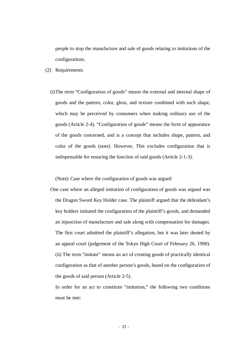people to stop the manufacture and sale of goods relating to imitations of the configurations.

- (2) Requirements
	- (i)The term "Configuration of goods" means the external and internal shape of goods and the pattern, color, gloss, and texture combined with such shape, which may be perceived by consumers when making ordinary use of the goods (Article 2-4). "Configuration of goods" means the form of appearance of the goods concerned, and is a concept that includes shape, pattern, and color of the goods (note). However, This excludes configuration that is indispensable for ensuring the function of said goods (Article 2-1-3).

(Note) Case where the configuration of goods was argued

One case where an alleged imitation of configuration of goods was argued was the Dragon Sword Key Holder case. The plaintiff argued that the defendant's key holders imitated the configuration of the plaintiff's goods, and demanded an injunction of manufacture and sale along with compensation for damages. The first court admitted the plaintiff's allegation, but it was later denied by an appeal court (judgement of the Tokyo High Court of February 26, 1998). (ii) The term "imitate" means an act of creating goods of practically identical configuration as that of another person's goods, based on the configuration of the goods of said person (Article 2-5).

In order for an act to constitute "imitation," the following two conditions must be met: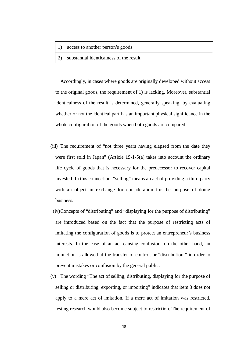- 1) access to another person's goods
- 2) substantial identicalness of the result

Accordingly, in cases where goods are originally developed without access to the original goods, the requirement of 1) is lacking. Moreover, substantial identicalness of the result is determined, generally speaking, by evaluating whether or not the identical part has an important physical significance in the whole configuration of the goods when both goods are compared.

- (iii) The requirement of "not three years having elapsed from the date they were first sold in Japan" (Article 19-1-5(a) takes into account the ordinary life cycle of goods that is necessary for the predecessor to recover capital invested. In this connection, "selling" means an act of providing a third party with an object in exchange for consideration for the purpose of doing business.
- (iv)Concepts of "distributing" and "displaying for the purpose of distributing" are introduced based on the fact that the purpose of restricting acts of imitating the configuration of goods is to protect an entrepreneur's business interests. In the case of an act causing confusion, on the other hand, an injunction is allowed at the transfer of control, or "distribution," in order to prevent mistakes or confusion by the general public.
- (v) The wording "The act of selling, distributing, displaying for the purpose of selling or distributing, exporting, or importing" indicates that item 3 does not apply to a mere act of imitation. If a mere act of imitation was restricted, testing research would also become subject to restriction. The requirement of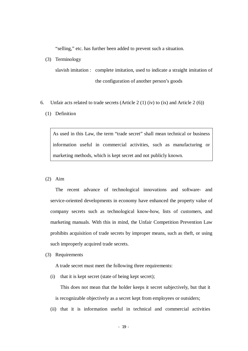"selling," etc. has further been added to prevent such a situation.

(3) Terminology

slavish imitation : complete imitation, used to indicate a straight imitation of the configuration of another person's goods

- 6. Unfair acts related to trade secrets (Article  $2(1)(iv)$  to  $(ix)$  and Article  $2(6)$ )
	- (1) Definition

As used in this Law, the term "trade secret" shall mean technical or business information useful in commercial activities, such as manufacturing or marketing methods, which is kept secret and not publicly known.

(2) Aim

The recent advance of technological innovations and software- and service-oriented developments in economy have enhanced the property value of company secrets such as technological know-how, lists of customers, and marketing manuals. With this in mind, the Unfair Competition Prevention Law prohibits acquisition of trade secrets by improper means, such as theft, or using such improperly acquired trade secrets.

(3) Requirements

A trade secret must meet the following three requirements:

(i) that it is kept secret (state of being kept secret);

This does not mean that the holder keeps it secret subjectively, but that it is recognizable objectively as a secret kept from employees or outsiders;

(ii) that it is information useful in technical and commercial activities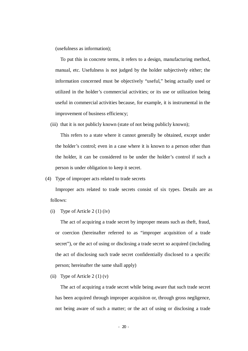(usefulness as information);

To put this in concrete terms, it refers to a design, manufacturing method, manual, etc. Usefulness is not judged by the holder subjectively either; the information concerned must be objectively "useful," being actually used or utilized in the holder's commercial activities; or its use or utilization being useful in commercial activities because, for example, it is instrumental in the improvement of business efficiency;

(iii) that it is not publicly known (state of not being publicly known);

This refers to a state where it cannot generally be obtained, except under the holder's control; even in a case where it is known to a person other than the holder, it can be considered to be under the holder's control if such a person is under obligation to keep it secret.

(4) Type of improper acts related to trade secrets

Improper acts related to trade secrets consist of six types. Details are as follows:

(i) Type of Article 2 (1) (iv)

The act of acquiring a trade secret by improper means such as theft, fraud, or coercion (hereinafter referred to as "improper acquisition of a trade secret"), or the act of using or disclosing a trade secret so acquired (including the act of disclosing such trade secret confidentially disclosed to a specific person; hereinafter the same shall apply)

(ii) Type of Article  $2(1)(v)$ 

The act of acquiring a trade secret while being aware that such trade secret has been acquired through improper acquisiton or, through gross negligence, not being aware of such a matter; or the act of using or disclosing a trade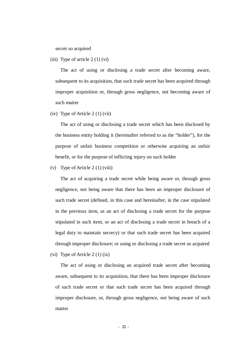secret so acquired

(iii) Type of article  $2(1)(vi)$ 

The act of using or disclosing a trade secret after becoming aware, subsequent to its acquisition, that such trade secret has been acquired through improper acquisition or, through gross negligence, not becoming aware of such matter

(iv) Type of Article 2 (1) (vii)

The act of using or disclosing a trade secret which has been disclosed by the business entity holding it (hereinafter referred to as the "holder"), for the purpose of unfair business competition or otherwise acquiring an unfair benefit, or for the purpose of inflicting injury on such holder

(v) Type of Article 2 (1) (viii)

The act of acquiring a trade secret while being aware or, through gross negligence, not being aware that there has been an improper disclosure of such trade secret (defined, in this case and hereinafter, in the case stipulated in the previous item, as an act of disclosing a trade secret for the purpose stipulated in such item, or an act of disclosing a trade secret in breach of a legal duty to maintain secrecy) or that such trade secret has been acquired through improper disclosure; or using or disclosing a trade secret so acquired (vi) Type of Article 2 (1) (ix)

The act of using or disclosing an acquired trade secret after becoming aware, subsequent to its acquisition, that there has been improper disclosure of such trade secret or that such trade secret has been acquired through improper disclosure, or, through gross negligence, not being aware of such matter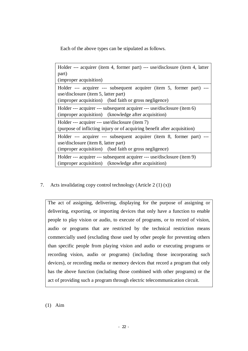Each of the above types can be stipulated as follows.

| Holder --- acquirer (item 4, former part) --- use/disclosure (item 4, latter<br>part)<br>(improper acquisition)                                                         |  |  |
|-------------------------------------------------------------------------------------------------------------------------------------------------------------------------|--|--|
| Holder --- acquirer --- subsequent acquirer (item 5, former part) ---<br>use/disclosure (item 5, latter part)<br>(improper acquisition) (bad faith or gross negligence) |  |  |
| Holder --- acquirer --- subsequent acquirer --- use/disclosure (item 6)<br>(improper acquisition) (knowledge after acquisition)                                         |  |  |
| Holder --- acquirer --- use/disclosure (item 7)<br>(purpose of inflicting injury or of acquiring benefit after acquisition)                                             |  |  |
| Holder --- acquirer --- subsequent acquirer (item 8, former part)<br>use/disclosure (item 8, latter part)<br>(improper acquisition) (bad faith or gross negligence)     |  |  |
| Holder --- acquirer --- subsequent acquirer --- use/disclosure (item 9)<br>(improper acquisition) (knowledge after acquisition)                                         |  |  |

7. Acts invalidating copy control technology (Article 2 (1) (x))

The act of assigning, delivering, displaying for the purpose of assigning or delivering, exporting, or importing devices that only have a function to enable people to play vision or audio, to execute of programs, or to record of vision, audio or programs that are restricted by the technical restriction means commercially used (excluding those used by other people for preventing others than specific people from playing vision and audio or executing programs or recording vision, audio or programs) (including those incorporating such devices), or recording media or memory devices that record a program that only has the above function (including those combined with other programs) or the act of providing such a program through electric telecommunication circuit.

(1) Aim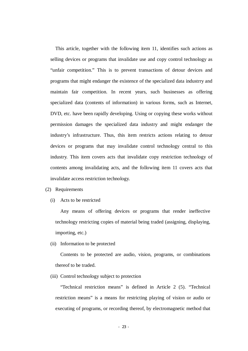This article, together with the following item 11, identifies such actions as selling devices or programs that invalidate use and copy control technology as "unfair competition." This is to prevent transactions of detour devices and programs that might endanger the existence of the specialized data industrry and maintain fair competition. In recent years, such businesses as offering specialized data (contents of information) in various forms, such as Internet, DVD, etc. have been rapidly developing. Using or copying these works without permission damages the specialized data industry and might endanger the industry's infrastructure. Thus, this item restricts actions relating to detour devices or programs that may invalidate control technology central to this industry. This item covers acts that invalidate copy restriction technology of contents among invalidating acts, and the following item 11 covers acts that invalidate access restriction technology.

- (2) Requirements
	- (i) Acts to be restricted

Any means of offering devices or programs that render ineffective technology restricting copies of material being traded (assigning, displaying, importing, etc.)

(ii) Information to be protected

Contents to be protected are audio, vision, programs, or combinations thereof to be traded.

(iii) Control technology subject to protection

"Technical restriction means" is defined in Article 2 (5). "Technical restriction means" is a means for restricting playing of vision or audio or executing of programs, or recording thereof, by electromagnetic method that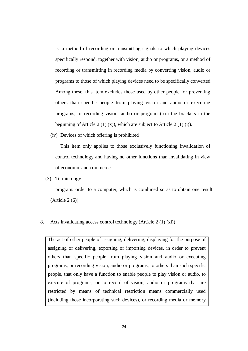is, a method of recording or transmitting signals to which playing devices specifically respond, together with vision, audio or programs, or a method of recording or transmitting in recording media by converting vision, audio or programs to those of which playing devices need to be specifically converted. Among these, this item excludes those used by other people for preventing others than specific people from playing vision and audio or executing programs, or recording vision, audio or programs) (in the brackets in the beginning of Article 2 (1) (x)), which are subject to Article 2 (1) (i)).

(iv) Devices of which offering is prohibited

This item only applies to those exclusively functioning invalidation of control technology and having no other functions than invalidating in view of economic and commerce.

(3) Terminology

program: order to a computer, which is combined so as to obtain one result (Article 2 (6))

8. Acts invalidating access control technology (Article 2 (1) (xi))

The act of other people of assigning, delivering, displaying for the purpose of assigning or delivering, exporting or importing devices, in order to prevent others than specific people from playing vision and audio or executing programs, or recording vision, audio or programs, to others than such specific people, that only have a function to enable people to play vision or audio, to execute of programs, or to record of vision, audio or programs that are restricted by means of technical restriction means commercially used (including those incorporating such devices), or recording media or memory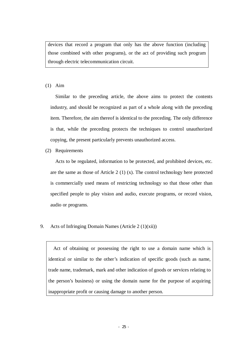devices that record a program that only has the above function (including those combined with other programs), or the act of providing such program through electric telecommunication circuit.

## (1) Aim

Similar to the preceding article, the above aims to protect the contents industry, and should be recognized as part of a whole along with the preceding item. Therefore, the aim thereof is identical to the preceding. The only difference is that, while the preceding protects the techniques to control unauthorized copying, the present particularly prevents unauthorized access.

(2) Requirements

Acts to be regulated, information to be protected, and prohibited devices, etc. are the same as those of Article 2 (1) (x). The control technology here protected is commercially used means of restricting technology so that those other than specified people to play vision and audio, execute programs, or record vision, audio or programs.

9. Acts of Infringing Domain Names (Article  $2(1)(xii)$ )

 Act of obtaining or possessing the right to use a domain name which is identical or similar to the other's indication of specific goods (such as name, trade name, trademark, mark and other indication of goods or services relating to the person's business) or using the domain name for the purpose of acquiring inappropriate profit or causing damage to another person.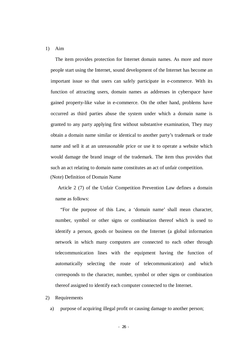#### 1) Aim

The item provides protection for Internet domain names. As more and more people start using the Internet, sound development of the Internet has become an important issue so that users can safely participate in e-commerce. With its function of attracting users, domain names as addresses in cyberspace have gained property-like value in e-commerce. On the other hand, problems have occurred as third parties abuse the system under which a domain name is granted to any party applying first without substantive examination, They may obtain a domain name similar or identical to another party's trademark or trade name and sell it at an unreasonable price or use it to operate a website which would damage the brand image of the trademark. The item thus provides that such an act relating to domain name constitutes an act of unfair competition. (Note) Definition of Domain Name

Article 2 (7) of the Unfair Competition Prevention Law defines a domain name as follows:

"For the purpose of this Law, a 'domain name' shall mean character, number, symbol or other signs or combination thereof which is used to identify a person, goods or business on the Internet (a global information network in which many computers are connected to each other through telecommunication lines with the equipment having the function of automatically selecting the route of telecommunication) and which corresponds to the character, number, symbol or other signs or combination thereof assigned to identify each computer connected to the Internet.

#### 2) Requirements

a) purpose of acquiring illegal profit or causing damage to another person;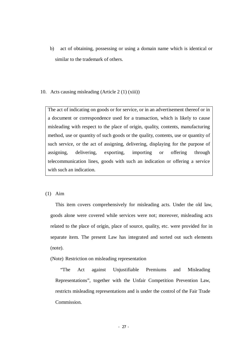b) act of obtaining, possessing or using a domain name which is identical or similar to the trademark of others.

#### 10. Acts causing misleading (Article 2 (1) (xiii))

The act of indicating on goods or for service, or in an advertisement thereof or in a document or correspondence used for a transaction, which is likely to cause misleading with respect to the place of origin, quality, contents, manufacturing method, use or quantity of such goods or the quality, contents, use or quantity of such service, or the act of assigning, delivering, displaying for the purpose of assigning, delivering, exporting, importing or offering through telecommunication lines, goods with such an indication or offering a service with such an indication.

#### (1) Aim

This item covers comprehensively for misleading acts. Under the old law, goods alone were covered while services were not; moreover, misleading acts related to the place of origin, place of source, quality, etc. were provided for in separate item. The present Law has integrated and sorted out such elements (note).

(Note) Restriction on misleading representation

"The Act against Unjustifiable Premiums and Misleading Representations", together with the Unfair Competition Prevention Law, restricts misleading representations and is under the control of the Fair Trade Commission.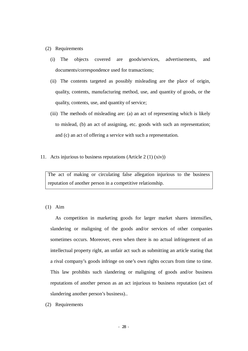#### (2) Requirements

- (i) The objects covered are goods/services, advertisements, and documents/correspondence used for transactions;
- (ii) The contents targeted as possibly misleading are the place of origin, quality, contents, manufacturing method, use, and quantity of goods, or the quality, contents, use, and quantity of service;
- (iii) The methods of misleading are: (a) an act of representing which is likely to mislead, (b) an act of assigning, etc. goods with such an representation; and (c) an act of offering a service with such a representation.
- 11. Acts injurious to business reputations (Article 2 (1) (xiv))

The act of making or circulating false allegation injurious to the business reputation of another person in a competitive relationship.

(1) Aim

As competition in marketing goods for larger market shares intensifies, slandering or maligning of the goods and/or services of other companies sometimes occurs. Moreover, even when there is no actual infringement of an intellectual property right, an unfair act such as submitting an article stating that a rival company's goods infringe on one's own rights occurs from time to time. This law prohibits such slandering or maligning of goods and/or business reputations of another person as an act injurious to business reputation (act of slandering another person's business)..

(2) Requirements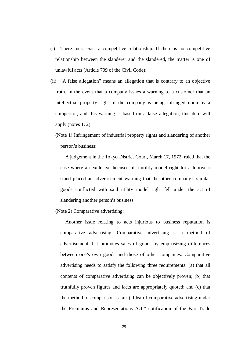- (i) There must exist a competitive relationship. If there is no competitive relationship between the slanderer and the slandered, the matter is one of unlawful acts (Article 709 of the Civil Code);
- (ii) "A false allegation" means an allegation that is contrary to an objective truth. In the event that a company issues a warning to a customer that an intellectual property right of the company is being infringed upon by a competitor, and this warning is based on a false allegation, this item will apply (notes 1, 2);

(Note 1) Infringement of industrial property rights and slandering of another person's business:

A judgement in the Tokyo District Court, March 17, 1972, ruled that the case where an exclusive licensee of a utility model right for a footwear stand placed an advertisement warning that the other company's similar goods conflicted with said utility model right fell under the act of slandering another person's business.

(Note 2) Comparative advertising:

Another issue relating to acts injurious to business reputation is comparative advertising. Comparative advertising is a method of advertisement that promotes sales of goods by emphasizing differences between one's own goods and those of other companies. Comparative advertising needs to satisfy the following three requirements: (a) that all contents of comparative advertising can be objectively proven; (b) that truthfully proven figures and facts are appropriately quoted; and (c) that the method of comparison is fair ("Idea of comparative advertising under the Premiums and Representations Act," notification of the Fair Trade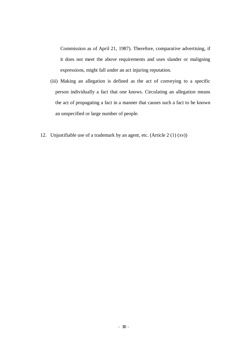Commission as of April 21, 1987). Therefore, comparative advertising, if it does not meet the above requirements and uses slander or maligning expressions, might fall under an act injuring reputation.

- (iii) Making an allegation is defined as the act of conveying to a specific person individually a fact that one knows. Circulating an allegation means the act of propagating a fact in a manner that causes such a fact to be known an unspecified or large number of people.
- 12. Unjustifiable use of a trademark by an agent, etc. (Article 2 (1) (xv))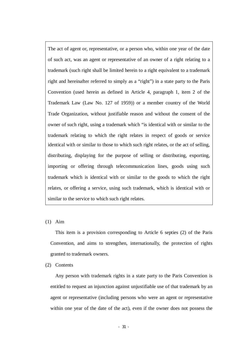The act of agent or, representative, or a person who, within one year of the date of such act, was an agent or representative of an owner of a right relating to a trademark (such right shall be limited herein to a right equivalent to a trademark right and hereinafter referred to simply as a "right") in a state party to the Paris Convention (used herein as defined in Article 4, paragraph 1, item 2 of the Trademark Law (Law No. 127 of 1959)) or a member country of the World Trade Organization, without justifiable reason and without the consent of the owner of such right, using a trademark which "is identical with or similar to the trademark relating to which the right relates in respect of goods or service identical with or similar to those to which such right relates, or the act of selling, distributing, displaying for the purpose of selling or distributing, exporting, importing or offering through telecommunication lines, goods using such trademark which is identical with or similar to the goods to which the right relates, or offering a service, using such trademark, which is identical with or similar to the service to which such right relates.

(1) Aim

This item is a provision corresponding to Article 6 septies (2) of the Paris Convention, and aims to strengthen, internationally, the protection of rights granted to trademark owners.

(2) Contents

Any person with trademark rights in a state party to the Paris Convention is entitled to request an injunction against unjustifiable use of that trademark by an agent or representative (including persons who were an agent or representative within one year of the date of the act), even if the owner does not possess the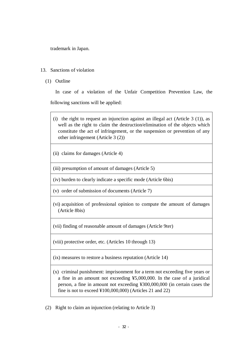trademark in Japan.

## 13. Sanctions of violation

(1) Outline

In case of a violation of the Unfair Competition Prevention Law, the following sanctions will be applied:

- (i) the right to request an injunction against an illegal act (Article  $3(1)$ ), as well as the right to claim the destruction/elimination of the objects which constitute the act of infringement, or the suspension or prevention of any other infringement (Article 3 (2))
- (ii) claims for damages (Article 4)

(iii) presumption of amount of damages (Article 5)

(iv) burden to clearly indicate a specific mode (Article 6bis)

(v) order of submission of documents (Article 7)

(vi) acquisition of professional opinion to compute the amount of damages (Article 8bis)

(vii) finding of reasonable amount of damages (Article 9ter)

(viii) protective order, etc. (Articles 10 through 13)

(ix) measures to restore a business reputation (Article 14)

(x) criminal punishment: imprisonment for a term not exceeding five years or a fine in an amount not exceeding ¥5,000,000. In the case of a juridical person, a fine in amount not exceeding ¥300,000,000 (in certain cases the fine is not to exceed ¥100,000,000) (Articles 21 and 22)

(2) Right to claim an injunction (relating to Article 3)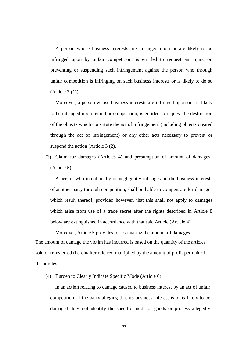A person whose business interests are infringed upon or are likely to be infringed upon by unfair competition, is entitled to request an injunction preventing or suspending such infringement against the person who through unfair competition is infringing on such business interests or is likely to do so (Article 3 (1)).

Moreover, a person whose business interests are infringed upon or are likely to be infringed upon by unfair competition, is entitled to request the destruction of the objects which constitute the act of infringement (including objects created through the act of infringement) or any other acts necessary to prevent or suspend the action (Article 3 (2).

(3) Claim for damages (Articles 4) and presumption of amount of damages (Article 5)

A person who intentionally or negligently infringes on the business interests of another party through competition, shall be liable to compensate for damages which result thereof; provided however, that this shall not apply to damages which arise from use of a trade secret after the rights described in Article 8 below are extinguished in accordance with that said Article (Article 4).

Moreover, Article 5 provides for estimating the amount of damages. The amount of damage the victim has incurred is based on the quantity of the articles sold or transferred (hereinafter referred multiplied by the amount of profit per unit of the articles.

(4) Burden to Clearly Indicate Specific Mode (Article 6)

In an action relating to damage caused to business interest by an act of unfair competition, if the party alleging that its business interest is or is likely to be damaged does not identify the specific mode of goods or process allegedly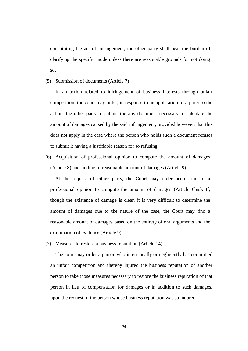constituting the act of infringement, the other party shall bear the burden of clarifying the specific mode unless there are reasonable grounds for not doing so.

(5) Submission of documents (Article 7)

In an action related to infringement of business interests through unfair competition, the court may order, in response to an application of a party to the action, the other party to submit the any document necessary to calculate the amount of damages caused by the said infringement; provided however, that this does not apply in the case where the person who holds such a document refuses to submit it having a justifiable reason for so refusing.

(6) Acquisition of professional opinion to compute the amount of damages (Article 8) and finding of reasonable amount of damages (Article 9)

At the request of either party, the Court may order acquisition of a professional opinion to compute the amount of damages (Article 6bis). If, though the existence of damage is clear, it is very difficult to determine the amount of damages due to the nature of the case, the Court may find a reasonable amount of damages based on the entirety of oral arguments and the examination of evidence (Article 9).

(7) Measures to restore a business reputation (Article 14)

The court may order a parson who intentionally or negligently has committed an unfair competition and thereby injured the business reputation of another person to take those measures necessary to restore the business reputation of that person in lieu of compensation for damages or in addition to such damages, upon the request of the person whose business reputation was so indured.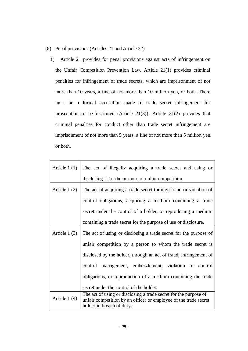- (8) Penal provisions (Articles 21 and Article 22)
	- 1) Article 21 provides for penal provisions against acts of infringement on the Unfair Competition Prevention Law. Article 21(1) provides criminal penalties for infringement of trade secrets, which are imprisonment of not more than 10 years, a fine of not more than 10 million yen, or both. There must be a formal accusation made of trade secret infringement for prosecution to be instituted (Article 21(3)). Article 21(2) provides that criminal penalties for conduct other than trade secret infringement are imprisonment of not more than 5 years, a fine of not more than 5 million yen, or both.

| Article $1(1)$ | The act of illegally acquiring a trade secret and using or                                    |  |  |  |
|----------------|-----------------------------------------------------------------------------------------------|--|--|--|
|                | disclosing it for the purpose of unfair competition.                                          |  |  |  |
| Article $1(2)$ | The act of acquiring a trade secret through fraud or violation of                             |  |  |  |
|                | control obligations, acquiring a medium containing a trade                                    |  |  |  |
|                | secret under the control of a holder, or reproducing a medium                                 |  |  |  |
|                | containing a trade secret for the purpose of use or disclosure.                               |  |  |  |
| Article $1(3)$ | The act of using or disclosing a trade secret for the purpose of                              |  |  |  |
|                | unfair competition by a person to whom the trade secret is                                    |  |  |  |
|                | disclosed by the holder, through an act of fraud, infringement of                             |  |  |  |
|                | control management, embezzlement, violation of control                                        |  |  |  |
|                | obligations, or reproduction of a medium containing the trade                                 |  |  |  |
|                | secret under the control of the holder.                                                       |  |  |  |
| Article $1(4)$ | The act of using or disclosing a trade secret for the purpose of                              |  |  |  |
|                | unfair competition by an officer or employee of the trade secret<br>holder in breach of duty. |  |  |  |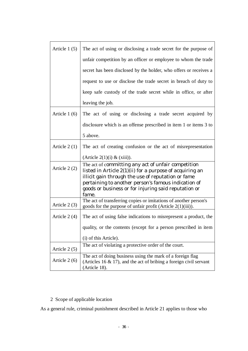| Article $1(5)$ | The act of using or disclosing a trade secret for the purpose of                                                                                                                                                                                                                              |  |  |
|----------------|-----------------------------------------------------------------------------------------------------------------------------------------------------------------------------------------------------------------------------------------------------------------------------------------------|--|--|
|                | unfair competition by an officer or employee to whom the trade                                                                                                                                                                                                                                |  |  |
|                | secret has been disclosed by the holder, who offers or receives a                                                                                                                                                                                                                             |  |  |
|                | request to use or disclose the trade secret in breach of duty to                                                                                                                                                                                                                              |  |  |
|                | keep safe custody of the trade secret while in office, or after                                                                                                                                                                                                                               |  |  |
|                | leaving the job.                                                                                                                                                                                                                                                                              |  |  |
| Article $1(6)$ | The act of using or disclosing a trade secret acquired by                                                                                                                                                                                                                                     |  |  |
|                | disclosure which is an offense prescribed in item 1 or items 3 to                                                                                                                                                                                                                             |  |  |
|                | 5 above.                                                                                                                                                                                                                                                                                      |  |  |
| Article $2(1)$ | The act of creating confusion or the act of misrepresentation                                                                                                                                                                                                                                 |  |  |
|                | (Article $2(1)(i) \& (xiii)$ ).                                                                                                                                                                                                                                                               |  |  |
| Article $2(2)$ | The act of committing any act of unfair competition<br>listed in Article 2(1)(ii) for a purpose of acquiring an<br>illicit gain through the use of reputation or fame<br>pertaining to another person's famous indication of<br>goods or business or for injuring said reputation or<br>fame. |  |  |
| Article $2(3)$ | The act of transferring copies or imitations of another person's<br>goods for the purpose of unfair profit (Article $2(1)(iii)$ ).                                                                                                                                                            |  |  |
| Article $2(4)$ | The act of using false indications to misrepresent a product, the                                                                                                                                                                                                                             |  |  |
|                | quality, or the contents (except for a person prescribed in item                                                                                                                                                                                                                              |  |  |
|                | (i) of this Article).                                                                                                                                                                                                                                                                         |  |  |
| Article $2(5)$ | The act of violating a protective order of the court.                                                                                                                                                                                                                                         |  |  |
| Article 2 (6)  | The act of doing business using the mark of a foreign flag<br>(Articles 16 $\&$ 17), and the act of bribing a foreign civil servant<br>(Article 18).                                                                                                                                          |  |  |

# 2 Scope of applicable location

As a general rule, criminal punishment described in Article 21 applies to those who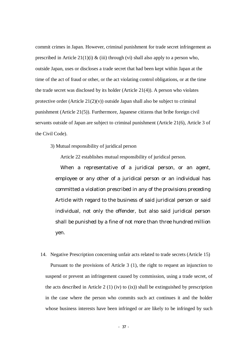commit crimes in Japan. However, criminal punishment for trade secret infringement as prescribed in Article 21(1)(i)  $\&$  (iii) through (vi) shall also apply to a person who, outside Japan, uses or discloses a trade secret that had been kept within Japan at the time of the act of fraud or other, or the act violating control obligations, or at the time the trade secret was disclosed by its holder (Article 21(4)). A person who violates protective order (Article  $21(2)(v)$ ) outside Japan shall also be subject to criminal punishment (Article 21(5)). Furthermore, Japanese citizens that bribe foreign civil servants outside of Japan are subject to criminal punishment (Article 21(6), Article 3 of the Civil Code).

3) Mutual responsibility of juridical person

Article 22 establishes mutual responsibility of juridical person.

When a representative of a juridical person, or an agent, employee or any other of a juridical person or an individual has committed a violation prescribed in any of the provisions preceding Article with regard to the business of said juridical person or said individual, not only the offender, but also said juridical person shall be punished by a fine of not more than three hundred million yen.

14. Negative Prescription concerning unfair acts related to trade secrets (Article 15)

Pursuant to the provisions of Article 3 (1), the right to request an injunction to suspend or prevent an infringement caused by commission, using a trade secret, of the acts described in Article 2 (1) (iv) to (ix)) shall be extinguished by prescription in the case where the person who commits such act continues it and the holder whose business interests have been infringed or are likely to be infringed by such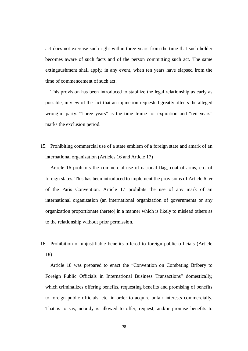act does not exercise such right within three years from the time that such holder becomes aware of such facts and of the person committing such act. The same extinguushment shall apply, in any event, when ten years have elapsed from the time of commencement of such act.

This provision has been introduced to stabilize the legal relationship as early as possible, in view of the fact that an injunction requested greatly affects the alleged wrongful party. "Three years" is the time frame for expiration and "ten years" marks the exclusion period.

15. Prohibiting commercial use of a state emblem of a foreign state and amark of an international organization (Articles 16 and Article 17)

Article 16 prohibits the commercial use of national flag, coat of arms, etc. of foreign states. This has been introduced to implement the provisions of Article 6 ter of the Paris Convention. Article 17 prohibits the use of any mark of an international organization (an international organization of governments or any organization proportionate thereto) in a manner which is likely to mislead others as to the relationship without prior permission.

16. Prohibition of unjustifiable benefits offered to foreign public officials (Article 18)

Article 18 was prepared to enact the "Convention on Combating Bribery to Foreign Public Officials in International Business Transactions" domestically, which criminalizes offering benefits, requesting benefits and promising of benefits to foreign public officials, etc. in order to acquire unfair interests commercially. That is to say, nobody is allowed to offer, request, and/or promise benefits to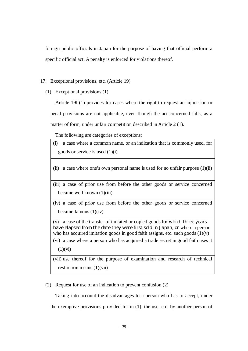foreign public officials in Japan for the purpose of having that official perform a specific official act. A penalty is enforced for violations thereof.

#### 17. Exceptional provisions, etc. (Article 19)

(1) Exceptional provisions (1)

Article 19l (1) provides for cases where the right to request an injunction or penal provisions are not applicable, even though the act concerned falls, as a matter of form, under unfair competition described in Article 2 (1).

The following are categories of exceptions:

- (i) a case where a common name, or an indication that is commonly used, for goods or service is used (1)(i)
- (ii) a case where one's own personal name is used for no unfair purpose  $(1)(ii)$

(iii) a case of prior use from before the other goods or service concerned became well known (1)(iii)

(iv) a case of prior use from before the other goods or service concerned became famous  $(1)(iv)$ 

(v) a case of the transfer of imitated or copied goods for which three years have elapsed from the date they were first sold in Japan, or where a person who has acquired imitation goods in good faith assigns, etc. such goods  $(1)(v)$ 

(vi) a case where a person who has acquired a trade secret in good faith uses it  $(1)(vi)$ 

(vii) use thereof for the purpose of examination and research of technical restriction means (1)(vii)

(2) Request for use of an indication to prevent confusion (2)

Taking into account the disadvantages to a person who has to accept, under the exemptive provisions provided for in (1), the use, etc. by another person of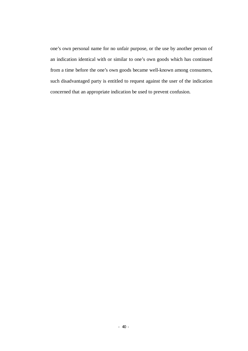one's own personal name for no unfair purpose, or the use by another person of an indication identical with or similar to one's own goods which has continued from a time before the one's own goods became well-known among consumers, such disadvantaged party is entitled to request against the user of the indication concerned that an appropriate indication be used to prevent confusion.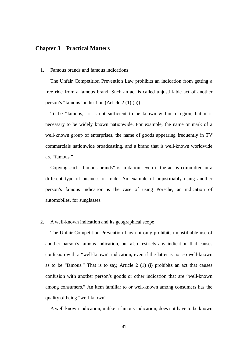# **Chapter 3 Practical Matters**

#### 1. Famous brands and famous indications

The Unfair Competition Prevention Law prohibits an indication from getting a free ride from a famous brand. Such an act is called unjustifiable act of another person's "famous" indication (Article 2 (1) (ii)).

To be "famous," it is not sufficient to be known within a region, but it is necessary to be widely known nationwide. For example, the name or mark of a well-known group of enterprises, the name of goods appearing frequently in TV commercials nationwide broadcasting, and a brand that is well-known worldwide are "famous."

Copying such "famous brands" is imitation, even if the act is committed in a different type of business or trade. An example of unjustifiably using another person's famous indication is the case of using Porsche, an indication of automobiles, for sunglasses.

#### 2. A well-known indication and its geographical scope

The Unfair Competition Prevention Law not only prohibits unjustifiable use of another parson's famous indication, but also restricts any indication that causes confusion with a "well-known" indication, even if the latter is not so well-known as to be "famous." That is to say, Article 2 (1) (i) prohibits an act that causes confusion with another person's goods or other indication that are "well-known among consumers." An item familiar to or well-known among consumers has the quality of being "well-known".

A well-known indication, unlike a famous indication, does not have to be known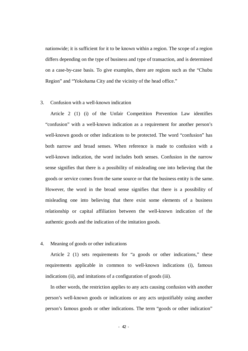nationwide; it is sufficient for it to be known within a region. The scope of a region differs depending on the type of business and type of transaction, and is determined on a case-by-case basis. To give examples, there are regions such as the "Chubu Region" and "Yokohama City and the vicinity of the head office."

#### 3. Confusion with a well-known indication

Article 2 (1) (i) of the Unfair Competition Prevention Law identifies "confusion" with a well-known indication as a requirement for another person's well-known goods or other indications to be protected. The word "confusion" has both narrow and broad senses. When reference is made to confusion with a well-known indication, the word includes both senses. Confusion in the narrow sense signifies that there is a possibility of misleading one into believing that the goods or service comes from the same source or that the business entity is the same. However, the word in the broad sense signifies that there is a possibility of misleading one into believing that there exist some elements of a business relationship or capital affiliation between the well-known indication of the authentic goods and the indication of the imitation goods.

## 4. Meaning of goods or other indications

Article 2 (1) sets requirements for "a goods or other indications," these requirements applicable in common to well-known indications (i), famous indications (ii), and imitations of a configuration of goods (iii).

In other words, the restriction applies to any acts causing confusion with another person's well-known goods or indications or any acts unjustifiably using another person's famous goods or other indications. The term "goods or other indication"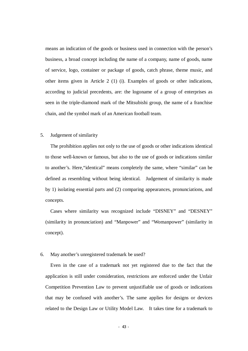means an indication of the goods or business used in connection with the person's business, a broad concept including the name of a company, name of goods, name of service, logo, container or package of goods, catch phrase, theme music, and other items given in Article 2 (1) (i). Examples of goods or other indications, according to judicial precedents, are: the logoname of a group of enterprises as seen in the triple-diamond mark of the Mitsubishi group, the name of a franchise chain, and the symbol mark of an American football team.

#### 5. Judgement of similarity

The prohibition applies not only to the use of goods or other indications identical to those well-known or famous, but also to the use of goods or indications similar to another's. Here,"identical" means completely the same, where "similar" can be defined as resembling without being identical. Judgement of similarity is made by 1) isolating essential parts and (2) comparing appearances, pronunciations, and concepts.

Cases where similarity was recognized include "DISNEY" and "DESNEY" (similarity in pronunciation) and "Manpower" and "Womanpower" (similarity in concept).

#### 6. May another's unregistered trademark be used?

Even in the case of a trademark not yet registered due to the fact that the application is still under consideration, restrictions are enforced under the Unfair Competition Prevention Law to prevent unjustifiable use of goods or indications that may be confused with another's. The same applies for designs or devices related to the Design Law or Utility Model Law. It takes time for a trademark to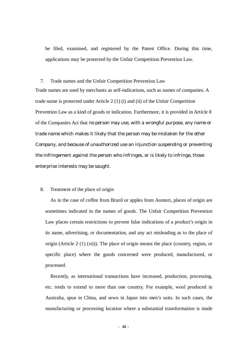be filed, examined, and registered by the Patent Office. During this time, applications may be protected by the Unfair Competition Prevention Law.

#### 7. Trade names and the Unfair Competition Prevention Law

Trade names are used by merchants as self-indications, such as names of companies. A trade name is protected under Article 2 (1) (i) and (ii) of the Unfair Competition Prevention Law as a kind of goods or indication. Furthermore, it is provided in Article 8 of the Companies Act that no person may use, with a wrongful purpose, any name or trade name which makes it likely that the person may be mistaken for the other Company, and because of unauthorized use an injunction suspending or preventing the infringement against the person who infringes, or is likely to infringe, those enterprise interests may be saught.

#### 8. Treatment of the place of origin

As in the case of coffee from Brazil or apples from Aomori, places of origin are sometimes indicated in the names of goods. The Unfair Competition Prevention Law places certain restrictions to prevent false indications of a product's origin in its name, advertising, or documentation, and any act misleading as to the place of origin (Article 2 (1) (xii)). The place of origin means the place (country, region, or specific place) where the goods concerned were produced, manufactured, or processed.

Recently, as international transactions have increased, production, processing, etc. tends to extend to more than one country. For example, wool produced in Australia, spun in China, and sewn in Japan into men's suits. In such cases, the manufacturing or processing location where a substantial transformation is made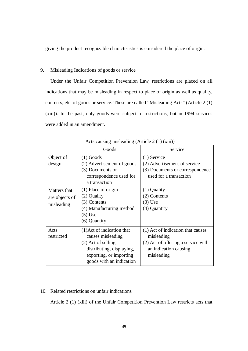giving the product recognizable characteristics is considered the place of origin.

# 9. Misleading Indications of goods or service

Under the Unfair Competition Prevention Law, restrictions are placed on all indications that may be misleading in respect to place of origin as well as quality, contents, etc. of goods or service. These are called "Misleading Acts" (Article 2 (1) (xiii)). In the past, only goods were subject to restrictions, but in 1994 services were added in an amendment.

|                                              | Goods                                                                                                                                                        | Service                                                                                                                      |
|----------------------------------------------|--------------------------------------------------------------------------------------------------------------------------------------------------------------|------------------------------------------------------------------------------------------------------------------------------|
| Object of<br>design                          | $(1)$ Goods<br>(2) Advertisement of goods<br>(3) Documents or<br>correspondence used for<br>a transaction                                                    | $(1)$ Service<br>(2) Advertisement of service<br>(3) Documents or correspondence<br>used for a transaction                   |
| Matters that<br>are objects of<br>misleading | (1) Place of origin<br>(2) Quality<br>(3) Contents<br>(4) Manufacturing method<br>(5) Use<br>(6) Quantity                                                    | $(1)$ Quality<br>(2) Contents<br>$(3)$ Use<br>(4) Quantity                                                                   |
| Acts<br>restricted                           | (1) Act of indication that<br>causes misleading<br>$(2)$ Act of selling,<br>distributing, displaying,<br>exporting, or importing<br>goods with an indication | (1) Act of indication that causes<br>misleading<br>(2) Act of offering a service with<br>an indication causing<br>misleading |

Acts causing misleading (Article 2 (1) (xiii))

# 10. Related restrictions on unfair indications

Article 2 (1) (xiii) of the Unfair Competition Prevention Law restricts acts that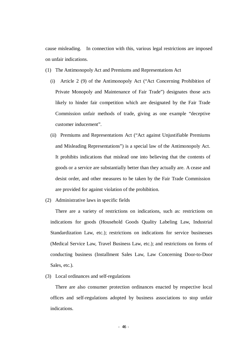cause misleading. In connection with this, various legal restrictions are imposed on unfair indications.

- (1) The Antimonopoly Act and Premiums and Representations Act
	- (i) Article 2 (9) of the Antimonopoly Act ("Act Concerning Prohibition of Private Monopoly and Maintenance of Fair Trade") designates those acts likely to hinder fair competition which are designated by the Fair Trade Commission unfair methods of trade, giving as one example "deceptive customer inducement".
	- (ii) Premiums and Representations Act ("Act against Unjustifiable Premiums and Misleading Representations") is a special law of the Antimonopoly Act. It prohibits indications that mislead one into believing that the contents of goods or a service are substantially better than they actually are. A cease and desist order, and other measures to be taken by the Fair Trade Commission are provided for against violation of the prohibition.
- (2) Administrative laws in specific fields

There are a variety of restrictions on indications, such as: restrictions on indications for goods (Household Goods Quality Labeling Law, Industrial Standardization Law, etc.); restrictions on indications for service businesses (Medical Service Law, Travel Business Law, etc.); and restrictions on forms of conducting business (Installment Sales Law, Law Concerning Door-to-Door Sales, etc.).

(3) Local ordinances and self-regulations

There are also consumer protection ordinances enacted by respective local offices and self-regulations adopted by business associations to stop unfair indications.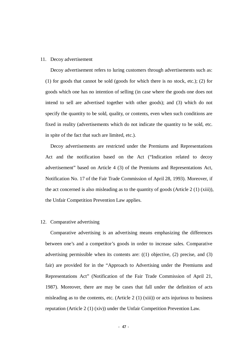#### 11. Decoy advertisement

Decoy advertisement refers to luring customers through advertisements such as: (1) for goods that cannot be sold (goods for which there is no stock, etc.); (2) for goods which one has no intention of selling (in case where the goods one does not intend to sell are advertised together with other goods); and (3) which do not specify the quantity to be sold, quality, or contents, even when such conditions are fixed in reality (advertisements which do not indicate the quantity to be sold, etc. in spite of the fact that such are limited, etc.).

Decoy advertisements are restricted under the Premiums and Representations Act and the notification based on the Act ("Indication related to decoy advertisement" based on Article 4 (3) of the Premiums and Representations Act, Notification No. 17 of the Fair Trade Commission of April 28, 1993). Moreover, if the act concerned is also misleading as to the quantity of goods (Article 2 (1) (xiii)), the Unfair Competition Prevention Law applies.

#### 12. Comparative advertising

Comparative advertising is an advertising means emphasizing the differences between one's and a competitor's goods in order to increase sales. Comparative advertising permissible when its contents are:  $(1)$  objective,  $(2)$  precise, and  $(3)$ fair) are provided for in the "Approach to Advertising under the Premiums and Representations Act" (Notification of the Fair Trade Commission of April 21, 1987). Moreover, there are may be cases that fall under the definition of acts misleading as to the contents, etc. (Article 2 (1) (xiii)) or acts injurious to business reputation (Article 2 (1) (xiv)) under the Unfair Competition Prevention Law.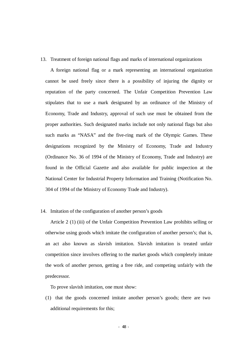13. Treatment of foreign national flags and marks of international organizations

A foreign national flag or a mark representing an international organization cannot be used freely since there is a possibility of injuring the dignity or reputation of the party concerned. The Unfair Competition Prevention Law stipulates that to use a mark designated by an ordinance of the Ministry of Economy, Trade and Industry, approval of such use must be obtained from the proper authorities. Such designated marks include not only national flags but also such marks as "NASA" and the five-ring mark of the Olympic Games. These designations recognized by the Ministry of Economy, Trade and Industry (Ordinance No. 36 of 1994 of the Ministry of Economy, Trade and Industry) are found in the Official Gazette and also available for public inspection at the National Center for Industrial Property Information and Training (Notification No. 304 of 1994 of the Ministry of Economy Trade and Industry).

14. Imitation of the configuration of another person's goods

Article 2 (1) (iii) of the Unfair Competition Prevention Law prohibits selling or otherwise using goods which imitate the configuration of another person's; that is, an act also known as slavish imitation. Slavish imitation is treated unfair competition since involves offering to the market goods which completely imitate the work of another person, getting a free ride, and competing unfairly with the predecessor.

To prove slavish imitation, one must show:

(1) that the goods concerned imitate another person's goods; there are two additional requirements for this;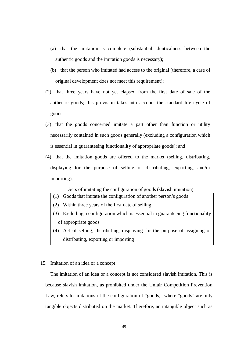- (a) that the imitation is complete (substantial identicalness between the authentic goods and the imitation goods is necessary);
- (b) that the person who imitated had access to the original (therefore, a case of original development does not meet this requirement);
- (2) that three years have not yet elapsed from the first date of sale of the authentic goods; this provision takes into account the standard life cycle of goods;
- (3) that the goods concerned imitate a part other than function or utility necessarily contained in such goods generally (excluding a configuration which is essential in guaranteeing functionality of appropriate goods); and
- (4) that the imitation goods are offered to the market (selling, distributing, displaying for the purpose of selling or distributing, exporting, and/or importing).

Acts of imitating the configuration of goods (slavish imitation)

- (1) Goods that imitate the configuration of another person's goods
- (2) Within three years of the first date of selling
- (3) Excluding a configuration which is essential in guaranteeing functionality of appropriate goods
- (4) Act of selling, distributing, displaying for the purpose of assigning or distributing, exporting or importing

#### 15. Imitation of an idea or a concept

The imitation of an idea or a concept is not considered slavish imitation. This is because slavish imitation, as prohibited under the Unfair Competition Prevention Law, refers to imitations of the configuration of "goods," where "goods" are only tangible objects distributed on the market. Therefore, an intangible object such as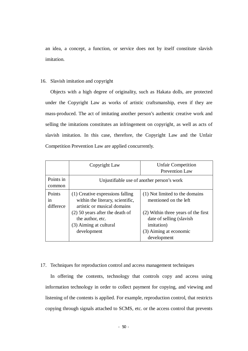an idea, a concept, a function, or service does not by itself constitute slavish imitation.

#### 16. Slavish imitation and copyright

Objects with a high degree of originality, such as Hakata dolls, are protected under the Copyright Law as works of artistic craftsmanship, even if they are mass-produced. The act of imitating another person's authentic creative work and selling the imitations constitutes an infringement on copyright, as well as acts of slavish imitation. In this case, therefore, the Copyright Law and the Unfair Competition Prevention Law are applied concurrently.

|                           | Copyright Law                                                                                                                                                                                         | <b>Unfair Competition</b><br><b>Prevention Law</b>                                                                                                                                         |  |
|---------------------------|-------------------------------------------------------------------------------------------------------------------------------------------------------------------------------------------------------|--------------------------------------------------------------------------------------------------------------------------------------------------------------------------------------------|--|
| Points in<br>common       | Unjustifiable use of another person's work                                                                                                                                                            |                                                                                                                                                                                            |  |
| Points<br>1n<br>differece | (1) Creative expressions falling<br>within the literary, scientific,<br>artistic or musical domains<br>$(2)$ 50 years after the death of<br>the author, etc.<br>(3) Aiming at cultural<br>development | (1) Not limited to the domains<br>mentioned on the left<br>(2) Within three years of the first<br>date of selling (slavish)<br><i>imitation</i> )<br>(3) Aiming at economic<br>development |  |

#### 17. Techniques for reproduction control and access management techniques

In offering the contents, technology that controls copy and access using information technology in order to collect payment for copying, and viewing and listening of the contents is applied. For example, reproduction control, that restricts copying through signals attached to SCMS, etc. or the access control that prevents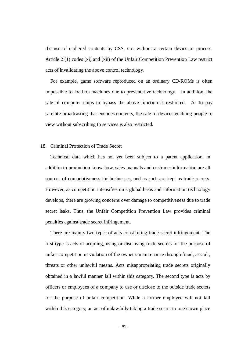the use of ciphered contents by CSS, etc. without a certain device or process. Article 2 (1) codes (xi) and (xii) of the Unfair Competition Prevention Law restrict acts of invalidating the above control technology.

For example, game software reproduced on an ordinary CD-ROMs is often impossible to load on machines due to preventative technology. In addition, the sale of computer chips to bypass the above function is restricted. As to pay satellite broadcasting that encodes contents, the sale of devices enabling people to view without subscribing to services is also restricted.

#### 18. Criminal Protection of Trade Secret

Technical data which has not yet been subject to a patent application, in addition to production know-how, sales manuals and customer information are all sources of competitiveness for businesses, and as such are kept as trade secrets. However, as competition intensifies on a global basis and information technology develops, there are growing concerns over damage to competitiveness due to trade secret leaks. Thus, the Unfair Competition Prevention Law provides criminal penalties against trade secret infringement.

There are mainly two types of acts constituting trade secret infringement. The first type is acts of acquiing, using or disclosing trade secrets for the purpose of unfair competition in violation of the owner's maintenance through fraud, assault, threats or other unlawful means. Acts misappropriating trade secrets originally obtained in a lawful manner fall within this category. The second type is acts by officers or employees of a company to use or disclose to the outside trade sectets for the purpose of unfair competition. While a former employee will not fall within this category, an act of unlawfully taking a trade secret to one's own place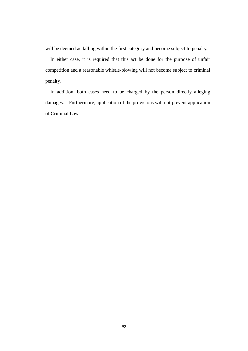will be deemed as falling within the first category and become subject to penalty.

In either case, it is required that this act be done for the purpose of unfair competition and a reasonable whistle-blowing will not become subject to criminal penalty.

In addition, both cases need to be charged by the person directly alleging damages. Furthermore, application of the provisions will not prevent application of Criminal Law.